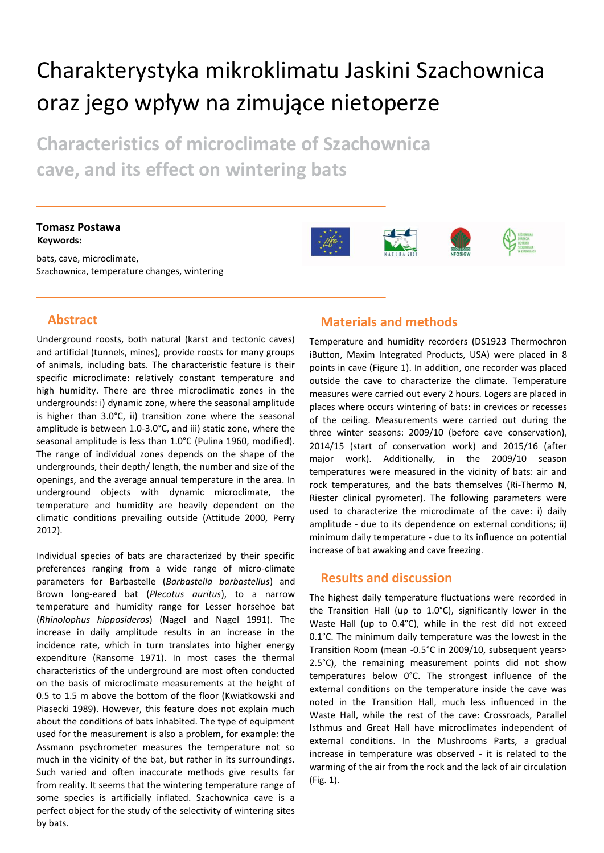# Charakterystyka mikroklimatu Jaskini Szachownica oraz jego wpływ na zimujące nietoperze

**Characteristics of microclimate of Szachownica cave, and its effect on wintering bats**

#### **Tomasz Postawa Keywords:**

bats, cave, microclimate, Szachownica, temperature changes, wintering







## **Abstract**

Underground roosts, both natural (karst and tectonic caves) and artificial (tunnels, mines), provide roosts for many groups of animals, including bats. The characteristic feature is their specific microclimate: relatively constant temperature and high humidity. There are three microclimatic zones in the undergrounds: i) dynamic zone, where the seasonal amplitude is higher than 3.0°C, ii) transition zone where the seasonal amplitude is between 1.0-3.0°C, and iii) static zone, where the seasonal amplitude is less than 1.0°C (Pulina 1960, modified). The range of individual zones depends on the shape of the undergrounds, their depth/ length, the number and size of the openings, and the average annual temperature in the area. In underground objects with dynamic microclimate, the temperature and humidity are heavily dependent on the climatic conditions prevailing outside (Attitude 2000, Perry 2012).

Individual species of bats are characterized by their specific preferences ranging from a wide range of micro-climate parameters for Barbastelle (*Barbastella barbastellus*) and Brown long-eared bat (*Plecotus auritus*), to a narrow temperature and humidity range for Lesser horsehoe bat (*Rhinolophus hipposideros*) (Nagel and Nagel 1991). The increase in daily amplitude results in an increase in the incidence rate, which in turn translates into higher energy expenditure (Ransome 1971). In most cases the thermal characteristics of the underground are most often conducted on the basis of microclimate measurements at the height of 0.5 to 1.5 m above the bottom of the floor (Kwiatkowski and Piasecki 1989). However, this feature does not explain much about the conditions of bats inhabited. The type of equipment used for the measurement is also a problem, for example: the Assmann psychrometer measures the temperature not so much in the vicinity of the bat, but rather in its surroundings. Such varied and often inaccurate methods give results far from reality. It seems that the wintering temperature range of some species is artificially inflated. Szachownica cave is a perfect object for the study of the selectivity of wintering sites by bats.

## **Materials and methods**

Temperature and humidity recorders (DS1923 Thermochron iButton, Maxim Integrated Products, USA) were placed in 8 points in cave (Figure 1). In addition, one recorder was placed outside the cave to characterize the climate. Temperature measures were carried out every 2 hours. Logers are placed in places where occurs wintering of bats: in crevices or recesses of the ceiling. Measurements were carried out during the three winter seasons: 2009/10 (before cave conservation), 2014/15 (start of conservation work) and 2015/16 (after major work). Additionally, in the 2009/10 season temperatures were measured in the vicinity of bats: air and rock temperatures, and the bats themselves (Ri-Thermo N, Riester clinical pyrometer). The following parameters were used to characterize the microclimate of the cave: i) daily amplitude - due to its dependence on external conditions; ii) minimum daily temperature - due to its influence on potential increase of bat awaking and cave freezing.

#### **Results and discussion**

The highest daily temperature fluctuations were recorded in the Transition Hall (up to 1.0°C), significantly lower in the Waste Hall (up to 0.4°C), while in the rest did not exceed 0.1°C. The minimum daily temperature was the lowest in the Transition Room (mean -0.5°C in 2009/10, subsequent years> 2.5°C), the remaining measurement points did not show temperatures below 0°C. The strongest influence of the external conditions on the temperature inside the cave was noted in the Transition Hall, much less influenced in the Waste Hall, while the rest of the cave: Crossroads, Parallel Isthmus and Great Hall have microclimates independent of external conditions. In the Mushrooms Parts, a gradual increase in temperature was observed - it is related to the warming of the air from the rock and the lack of air circulation (Fig. 1).